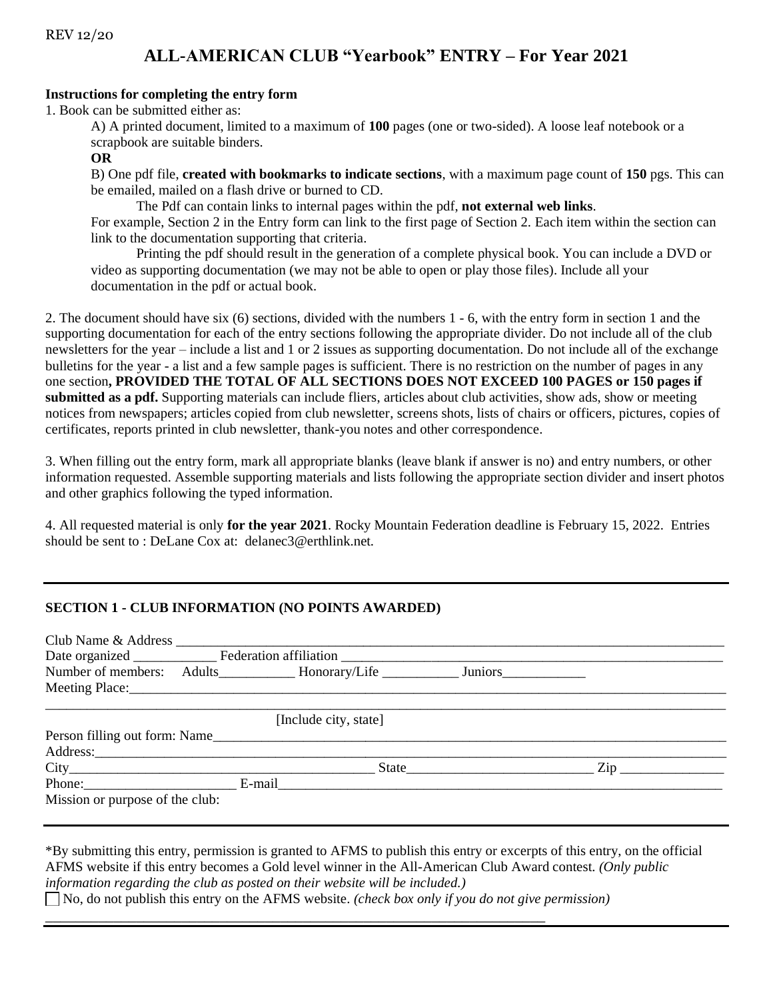# **ALL-AMERICAN CLUB "Yearbook" ENTRY – For Year 2021**

#### **Instructions for completing the entry form**

1. Book can be submitted either as:

A) A printed document, limited to a maximum of **100** pages (one or two-sided). A loose leaf notebook or a scrapbook are suitable binders.

#### **OR**

B) One pdf file, **created with bookmarks to indicate sections**, with a maximum page count of **150** pgs. This can be emailed, mailed on a flash drive or burned to CD.

The Pdf can contain links to internal pages within the pdf, **not external web links**. For example, Section 2 in the Entry form can link to the first page of Section 2. Each item within the section can link to the documentation supporting that criteria.

Printing the pdf should result in the generation of a complete physical book. You can include a DVD or video as supporting documentation (we may not be able to open or play those files). Include all your documentation in the pdf or actual book.

2. The document should have six (6) sections, divided with the numbers 1 - 6, with the entry form in section 1 and the supporting documentation for each of the entry sections following the appropriate divider. Do not include all of the club newsletters for the year – include a list and 1 or 2 issues as supporting documentation. Do not include all of the exchange bulletins for the year - a list and a few sample pages is sufficient. There is no restriction on the number of pages in any one section**, PROVIDED THE TOTAL OF ALL SECTIONS DOES NOT EXCEED 100 PAGES or 150 pages if submitted as a pdf.** Supporting materials can include fliers, articles about club activities, show ads, show or meeting notices from newspapers; articles copied from club newsletter, screens shots, lists of chairs or officers, pictures, copies of certificates, reports printed in club newsletter, thank-you notes and other correspondence.

3. When filling out the entry form, mark all appropriate blanks (leave blank if answer is no) and entry numbers, or other information requested. Assemble supporting materials and lists following the appropriate section divider and insert photos and other graphics following the typed information.

4. All requested material is only **for the year 2021**. Rocky Mountain Federation deadline is February 15, 2022. Entries should be sent to : DeLane Cox at: delanec3@erthlink.net.

#### **SECTION 1 - CLUB INFORMATION (NO POINTS AWARDED)**

|                                 | Number of members: Adults________________Honorary/Life __________________ Juniors___________________ |  |                  |  |  |
|---------------------------------|------------------------------------------------------------------------------------------------------|--|------------------|--|--|
|                                 |                                                                                                      |  |                  |  |  |
|                                 |                                                                                                      |  |                  |  |  |
| [Include city, state]           |                                                                                                      |  |                  |  |  |
| Person filling out form: Name   |                                                                                                      |  |                  |  |  |
|                                 |                                                                                                      |  |                  |  |  |
|                                 |                                                                                                      |  | $\mathsf{Zip}\_$ |  |  |
|                                 | Phone: E-mail E-mail                                                                                 |  |                  |  |  |
| Mission or purpose of the club: |                                                                                                      |  |                  |  |  |

\*By submitting this entry, permission is granted to AFMS to publish this entry or excerpts of this entry, on the official AFMS website if this entry becomes a Gold level winner in the All-American Club Award contest. *(Only public information regarding the club as posted on their website will be included.)* No, do not publish this entry on the AFMS website. *(check box only if you do not give permission)*

\_\_\_\_\_\_\_\_\_\_\_\_\_\_\_\_\_\_\_\_\_\_\_\_\_\_\_\_\_\_\_\_\_\_\_\_\_\_\_\_\_\_\_\_\_\_\_\_\_\_\_\_\_\_\_\_\_\_\_\_\_\_\_\_\_\_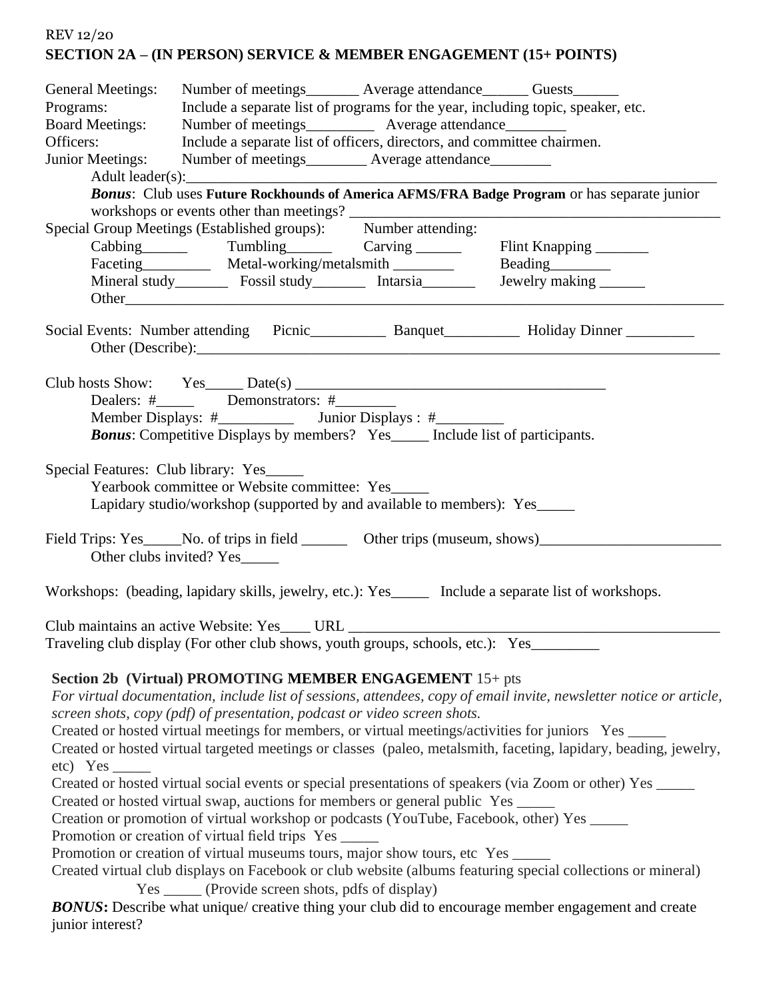# REV 12/20 **SECTION 2A – (IN PERSON) SERVICE & MEMBER ENGAGEMENT (15+ POINTS)**

| General Meetings:<br>Programs:<br><b>Board Meetings:</b><br>Officers:<br><b>Junior Meetings:</b>                                                                                                                                                                                                                                                                                                                                                                                                                                                                                                                                                                                                                                                                                                                                                                                                                                                                                                                                                                                                                                                                                                                                                                 | Number of meetings________ Average attendance_______ Guests_______<br>Number of meetings_____________ Average attendance__________<br>Include a separate list of officers, directors, and committee chairmen.<br>Number of meetings__________ Average attendance_________<br>Special Group Meetings (Established groups): Number attending:<br>Mineral study____________ Fossil study_____________ Intarsia__________ | Include a separate list of programs for the year, including topic, speaker, etc.<br>Bonus: Club uses Future Rockhounds of America AFMS/FRA Badge Program or has separate junior<br>Beading<br><u>Leading</u><br>Jewelry making ________ |  |  |  |
|------------------------------------------------------------------------------------------------------------------------------------------------------------------------------------------------------------------------------------------------------------------------------------------------------------------------------------------------------------------------------------------------------------------------------------------------------------------------------------------------------------------------------------------------------------------------------------------------------------------------------------------------------------------------------------------------------------------------------------------------------------------------------------------------------------------------------------------------------------------------------------------------------------------------------------------------------------------------------------------------------------------------------------------------------------------------------------------------------------------------------------------------------------------------------------------------------------------------------------------------------------------|-----------------------------------------------------------------------------------------------------------------------------------------------------------------------------------------------------------------------------------------------------------------------------------------------------------------------------------------------------------------------------------------------------------------------|-----------------------------------------------------------------------------------------------------------------------------------------------------------------------------------------------------------------------------------------|--|--|--|
|                                                                                                                                                                                                                                                                                                                                                                                                                                                                                                                                                                                                                                                                                                                                                                                                                                                                                                                                                                                                                                                                                                                                                                                                                                                                  |                                                                                                                                                                                                                                                                                                                                                                                                                       |                                                                                                                                                                                                                                         |  |  |  |
| <b>Bonus:</b> Competitive Displays by members? Yes____ Include list of participants.                                                                                                                                                                                                                                                                                                                                                                                                                                                                                                                                                                                                                                                                                                                                                                                                                                                                                                                                                                                                                                                                                                                                                                             |                                                                                                                                                                                                                                                                                                                                                                                                                       |                                                                                                                                                                                                                                         |  |  |  |
| Special Features: Club library: Yes<br>Yearbook committee or Website committee: Yes<br>Lapidary studio/workshop (supported by and available to members): Yes_____                                                                                                                                                                                                                                                                                                                                                                                                                                                                                                                                                                                                                                                                                                                                                                                                                                                                                                                                                                                                                                                                                                |                                                                                                                                                                                                                                                                                                                                                                                                                       |                                                                                                                                                                                                                                         |  |  |  |
| Field Trips: Yes_____No. of trips in field __________ Other trips (museum, shows)___________________<br>Other clubs invited? Yes                                                                                                                                                                                                                                                                                                                                                                                                                                                                                                                                                                                                                                                                                                                                                                                                                                                                                                                                                                                                                                                                                                                                 |                                                                                                                                                                                                                                                                                                                                                                                                                       |                                                                                                                                                                                                                                         |  |  |  |
| Workshops: (beading, lapidary skills, jewelry, etc.): Yes_______ Include a separate list of workshops.                                                                                                                                                                                                                                                                                                                                                                                                                                                                                                                                                                                                                                                                                                                                                                                                                                                                                                                                                                                                                                                                                                                                                           |                                                                                                                                                                                                                                                                                                                                                                                                                       |                                                                                                                                                                                                                                         |  |  |  |
| Traveling club display (For other club shows, youth groups, schools, etc.): Yes________                                                                                                                                                                                                                                                                                                                                                                                                                                                                                                                                                                                                                                                                                                                                                                                                                                                                                                                                                                                                                                                                                                                                                                          |                                                                                                                                                                                                                                                                                                                                                                                                                       |                                                                                                                                                                                                                                         |  |  |  |
| Section 2b (Virtual) PROMOTING MEMBER ENGAGEMENT 15+ pts<br>For virtual documentation, include list of sessions, attendees, copy of email invite, newsletter notice or article,<br>screen shots, copy (pdf) of presentation, podcast or video screen shots.<br>Created or hosted virtual meetings for members, or virtual meetings/activities for juniors Yes ____<br>Created or hosted virtual targeted meetings or classes (paleo, metalsmith, faceting, lapidary, beading, jewelry,<br>$etc)$ Yes $\_\_$<br>Created or hosted virtual social events or special presentations of speakers (via Zoom or other) Yes _____<br>Created or hosted virtual swap, auctions for members or general public Yes _____<br>Creation or promotion of virtual workshop or podcasts (YouTube, Facebook, other) Yes _____<br>Promotion or creation of virtual field trips Yes _____<br>Promotion or creation of virtual museums tours, major show tours, etc Yes _____<br>Created virtual club displays on Facebook or club website (albums featuring special collections or mineral)<br>Yes _______ (Provide screen shots, pdfs of display)<br><b>BONUS:</b> Describe what unique/ creative thing your club did to encourage member engagement and create<br>junior interest? |                                                                                                                                                                                                                                                                                                                                                                                                                       |                                                                                                                                                                                                                                         |  |  |  |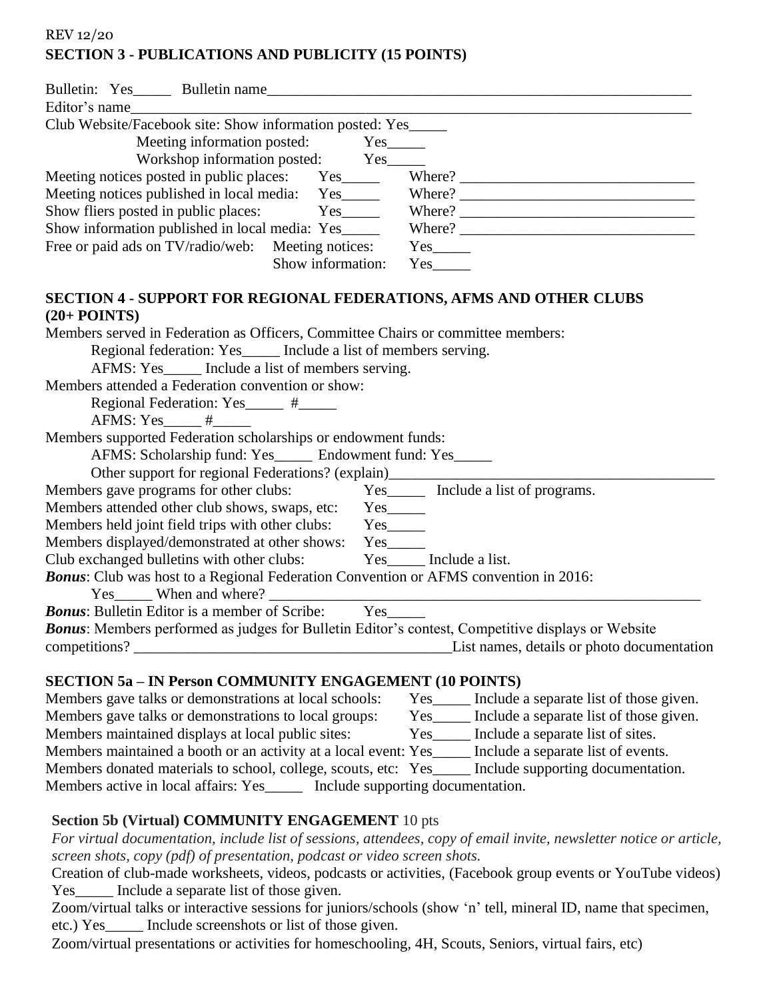## REV 12/20 **SECTION 3 - PUBLICATIONS AND PUBLICITY (15 POINTS)**

| Editor's name                                                                                                        |                                                                |  |  |  |  |
|----------------------------------------------------------------------------------------------------------------------|----------------------------------------------------------------|--|--|--|--|
| Club Website/Facebook site: Show information posted: Yes_____                                                        |                                                                |  |  |  |  |
| Meeting information posted: Yes_____                                                                                 |                                                                |  |  |  |  |
| Workshop information posted: Yes_____                                                                                |                                                                |  |  |  |  |
|                                                                                                                      |                                                                |  |  |  |  |
|                                                                                                                      |                                                                |  |  |  |  |
|                                                                                                                      |                                                                |  |  |  |  |
|                                                                                                                      |                                                                |  |  |  |  |
| Free or paid ads on TV/radio/web: Meeting notices: Yes                                                               |                                                                |  |  |  |  |
| Show information: Yes______                                                                                          |                                                                |  |  |  |  |
| SECTION 4 - SUPPORT FOR REGIONAL FEDERATIONS, AFMS AND OTHER CLUBS                                                   |                                                                |  |  |  |  |
| $(20+$ POINTS)                                                                                                       |                                                                |  |  |  |  |
| Members served in Federation as Officers, Committee Chairs or committee members:                                     |                                                                |  |  |  |  |
| Regional federation: Yes_____ Include a list of members serving.                                                     |                                                                |  |  |  |  |
| AFMS: Yes______ Include a list of members serving.<br>Members attended a Federation convention or show:              |                                                                |  |  |  |  |
|                                                                                                                      |                                                                |  |  |  |  |
| Regional Federation: Yes_____ #_____<br>$AFMS: Yes$ #                                                                |                                                                |  |  |  |  |
| Members supported Federation scholarships or endowment funds:                                                        |                                                                |  |  |  |  |
| AFMS: Scholarship fund: Yes______ Endowment fund: Yes_____                                                           |                                                                |  |  |  |  |
| Other support for regional Federations? (explain)________________________________                                    |                                                                |  |  |  |  |
| Members gave programs for other clubs:                                                                               | Yes ________ Include a list of programs.                       |  |  |  |  |
|                                                                                                                      |                                                                |  |  |  |  |
| Members attended other club shows, swaps, etc: Yes_____<br>Members held joint field trips with other clubs: Yes_____ |                                                                |  |  |  |  |
| Members displayed/demonstrated at other shows: Yes_____                                                              |                                                                |  |  |  |  |
| Club exchanged bulletins with other clubs: Yes_____ Include a list.                                                  |                                                                |  |  |  |  |
| Bonus: Club was host to a Regional Federation Convention or AFMS convention in 2016:                                 |                                                                |  |  |  |  |
|                                                                                                                      |                                                                |  |  |  |  |
| <b>Bonus:</b> Bulletin Editor is a member of Scribe: Yes_____                                                        |                                                                |  |  |  |  |
| Bonus: Members performed as judges for Bulletin Editor's contest, Competitive displays or Website                    |                                                                |  |  |  |  |
| List names, details or photo documentation<br>competitions?                                                          |                                                                |  |  |  |  |
|                                                                                                                      |                                                                |  |  |  |  |
| <b>SECTION 5a - IN Person COMMUNITY ENGAGEMENT (10 POINTS)</b>                                                       |                                                                |  |  |  |  |
| Members gave talks or demonstrations at local schools:                                                               | $Yes_$<br>Include a separate list of those given.              |  |  |  |  |
| Members gave talks or demonstrations to local groups:                                                                | Include a separate list of those given.<br>$Yes$ <sub>__</sub> |  |  |  |  |
| Members maintained displays at local public sites:                                                                   | Include a separate list of sites.<br>$Yes_$                    |  |  |  |  |
| Members maintained a booth or an activity at a local event: Yes_                                                     | Include a separate list of events.                             |  |  |  |  |
| Members donated materials to school, college, scouts, etc: Yes_                                                      | Include supporting documentation.                              |  |  |  |  |

Members active in local affairs: Yes\_\_\_\_\_ Include supporting documentation.

### **Section 5b (Virtual) COMMUNITY ENGAGEMENT** 10 pts

*For virtual documentation, include list of sessions, attendees, copy of email invite, newsletter notice or article, screen shots, copy (pdf) of presentation, podcast or video screen shots.* 

Creation of club-made worksheets, videos, podcasts or activities, (Facebook group events or YouTube videos) Yes\_\_\_\_\_\_ Include a separate list of those given.

Zoom/virtual talks or interactive sessions for juniors/schools (show 'n' tell, mineral ID, name that specimen, etc.) Yes\_\_\_\_\_ Include screenshots or list of those given.

Zoom/virtual presentations or activities for homeschooling, 4H, Scouts, Seniors, virtual fairs, etc)